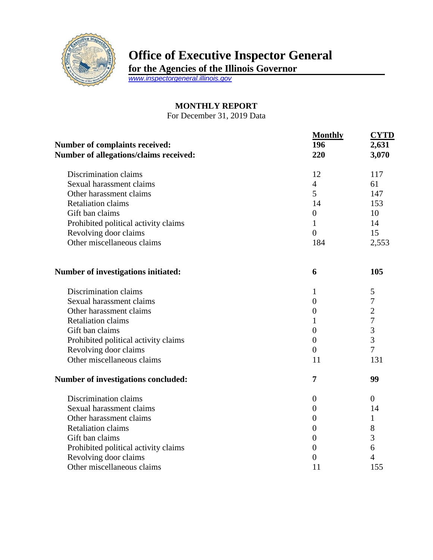

## **Office of Executive Inspector General**

**for the Agencies of the Illinois Governor**

*[www.inspectorgeneral.illinois.gov](http://www.inspectorgeneral.illinois.gov/)*

## **MONTHLY REPORT**

For December 31, 2019 Data

| Number of complaints received:<br>Number of allegations/claims received: | <b>Monthly</b><br>196<br>220 | <b>CYTD</b><br>2,631<br>3,070 |
|--------------------------------------------------------------------------|------------------------------|-------------------------------|
| Discrimination claims                                                    | 12                           | 117                           |
| Sexual harassment claims                                                 | $\overline{4}$               | 61                            |
| Other harassment claims                                                  | 5                            | 147                           |
| <b>Retaliation claims</b>                                                | 14                           | 153                           |
| Gift ban claims                                                          | $\boldsymbol{0}$             | 10                            |
| Prohibited political activity claims                                     | $\mathbf{1}$                 | 14                            |
| Revolving door claims                                                    | $\overline{0}$               | 15                            |
| Other miscellaneous claims                                               | 184                          | 2,553                         |
| Number of investigations initiated:                                      | 6                            | 105                           |
| Discrimination claims                                                    | 1                            | 5                             |
| Sexual harassment claims                                                 | $\overline{0}$               | $\overline{7}$                |
| Other harassment claims                                                  | $\overline{0}$               | $\overline{2}$                |
| <b>Retaliation claims</b>                                                | 1                            | $\overline{7}$                |
| Gift ban claims                                                          | $\overline{0}$               | 3                             |
| Prohibited political activity claims                                     | $\overline{0}$               | $\overline{3}$                |
| Revolving door claims                                                    | $\overline{0}$               | $\overline{7}$                |
| Other miscellaneous claims                                               | 11                           | 131                           |
| Number of investigations concluded:                                      | 7                            | 99                            |
| Discrimination claims                                                    | $\boldsymbol{0}$             | $\overline{0}$                |
| Sexual harassment claims                                                 | $\overline{0}$               | 14                            |
| Other harassment claims                                                  | $\overline{0}$               | 1                             |
| <b>Retaliation claims</b>                                                | $\boldsymbol{0}$             | 8                             |
| Gift ban claims                                                          | $\overline{0}$               | 3                             |
| Prohibited political activity claims                                     | $\overline{0}$               | 6                             |
| Revolving door claims                                                    | $\overline{0}$               | $\overline{4}$                |
| Other miscellaneous claims                                               | 11                           | 155                           |